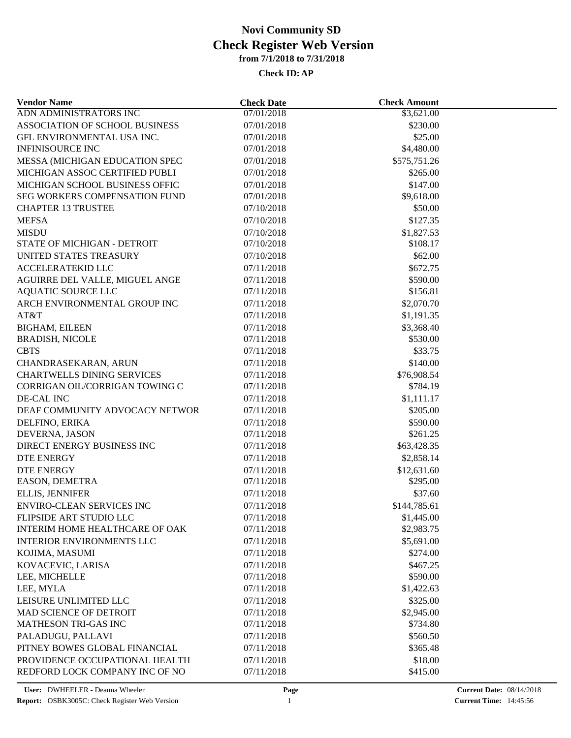| <b>Vendor Name</b>                | <b>Check Date</b> | <b>Check Amount</b> |  |
|-----------------------------------|-------------------|---------------------|--|
| ADN ADMINISTRATORS INC            | 07/01/2018        | \$3,621.00          |  |
| ASSOCIATION OF SCHOOL BUSINESS    | 07/01/2018        | \$230.00            |  |
| GFL ENVIRONMENTAL USA INC.        | 07/01/2018        | \$25.00             |  |
| <b>INFINISOURCE INC</b>           | 07/01/2018        | \$4,480.00          |  |
| MESSA (MICHIGAN EDUCATION SPEC    | 07/01/2018        | \$575,751.26        |  |
| MICHIGAN ASSOC CERTIFIED PUBLI    | 07/01/2018        | \$265.00            |  |
| MICHIGAN SCHOOL BUSINESS OFFIC    | 07/01/2018        | \$147.00            |  |
| SEG WORKERS COMPENSATION FUND     | 07/01/2018        | \$9,618.00          |  |
| <b>CHAPTER 13 TRUSTEE</b>         | 07/10/2018        | \$50.00             |  |
| <b>MEFSA</b>                      | 07/10/2018        | \$127.35            |  |
| <b>MISDU</b>                      | 07/10/2018        | \$1,827.53          |  |
| STATE OF MICHIGAN - DETROIT       | 07/10/2018        | \$108.17            |  |
| UNITED STATES TREASURY            | 07/10/2018        | \$62.00             |  |
| <b>ACCELERATEKID LLC</b>          | 07/11/2018        | \$672.75            |  |
| AGUIRRE DEL VALLE, MIGUEL ANGE    | 07/11/2018        | \$590.00            |  |
| <b>AQUATIC SOURCE LLC</b>         | 07/11/2018        | \$156.81            |  |
| ARCH ENVIRONMENTAL GROUP INC      | 07/11/2018        | \$2,070.70          |  |
| AT&T                              | 07/11/2018        | \$1,191.35          |  |
| <b>BIGHAM, EILEEN</b>             | 07/11/2018        | \$3,368.40          |  |
| <b>BRADISH, NICOLE</b>            | 07/11/2018        | \$530.00            |  |
| <b>CBTS</b>                       | 07/11/2018        | \$33.75             |  |
|                                   |                   | \$140.00            |  |
| CHANDRASEKARAN, ARUN              | 07/11/2018        |                     |  |
| <b>CHARTWELLS DINING SERVICES</b> | 07/11/2018        | \$76,908.54         |  |
| CORRIGAN OIL/CORRIGAN TOWING C    | 07/11/2018        | \$784.19            |  |
| DE-CAL INC                        | 07/11/2018        | \$1,111.17          |  |
| DEAF COMMUNITY ADVOCACY NETWOR    | 07/11/2018        | \$205.00            |  |
| DELFINO, ERIKA                    | 07/11/2018        | \$590.00            |  |
| DEVERNA, JASON                    | 07/11/2018        | \$261.25            |  |
| DIRECT ENERGY BUSINESS INC        | 07/11/2018        | \$63,428.35         |  |
| <b>DTE ENERGY</b>                 | 07/11/2018        | \$2,858.14          |  |
| <b>DTE ENERGY</b>                 | 07/11/2018        | \$12,631.60         |  |
| EASON, DEMETRA                    | 07/11/2018        | \$295.00            |  |
| ELLIS, JENNIFER                   | 07/11/2018        | \$37.60             |  |
| <b>ENVIRO-CLEAN SERVICES INC</b>  | 07/11/2018        | \$144,785.61        |  |
| FLIPSIDE ART STUDIO LLC           | 07/11/2018        | \$1,445.00          |  |
| INTERIM HOME HEALTHCARE OF OAK    | 07/11/2018        | \$2,983.75          |  |
| <b>INTERIOR ENVIRONMENTS LLC</b>  | 07/11/2018        | \$5,691.00          |  |
| KOJIMA, MASUMI                    | 07/11/2018        | \$274.00            |  |
| KOVACEVIC, LARISA                 | 07/11/2018        | \$467.25            |  |
| LEE, MICHELLE                     | 07/11/2018        | \$590.00            |  |
| LEE, MYLA                         | 07/11/2018        | \$1,422.63          |  |
| LEISURE UNLIMITED LLC             | 07/11/2018        | \$325.00            |  |
| MAD SCIENCE OF DETROIT            | 07/11/2018        | \$2,945.00          |  |
| <b>MATHESON TRI-GAS INC</b>       | 07/11/2018        | \$734.80            |  |
| PALADUGU, PALLAVI                 | 07/11/2018        | \$560.50            |  |
| PITNEY BOWES GLOBAL FINANCIAL     | 07/11/2018        | \$365.48            |  |
| PROVIDENCE OCCUPATIONAL HEALTH    | 07/11/2018        | \$18.00             |  |
| REDFORD LOCK COMPANY INC OF NO    | 07/11/2018        | \$415.00            |  |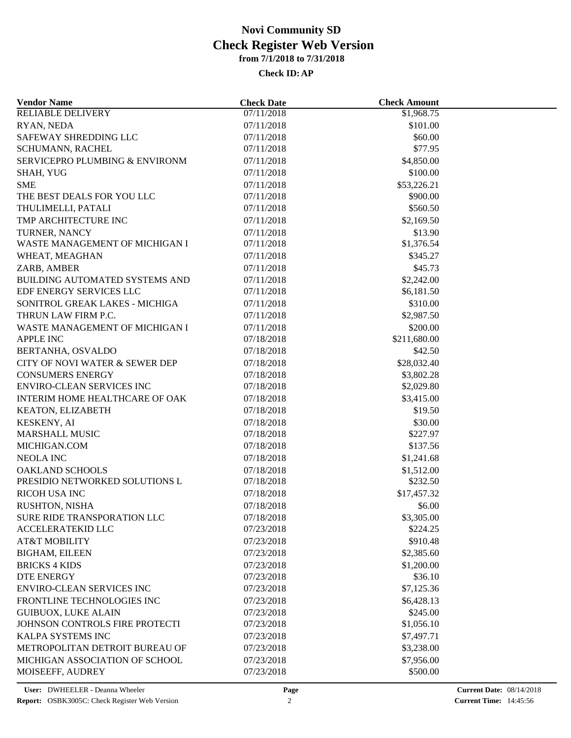| <b>Vendor Name</b>                        | <b>Check Date</b> | <b>Check Amount</b>      |  |
|-------------------------------------------|-------------------|--------------------------|--|
| <b>RELIABLE DELIVERY</b>                  | 07/11/2018        | $\overline{$1,968.75}$   |  |
| RYAN, NEDA                                | 07/11/2018        | \$101.00                 |  |
| SAFEWAY SHREDDING LLC                     | 07/11/2018        | \$60.00                  |  |
| SCHUMANN, RACHEL                          | 07/11/2018        | \$77.95                  |  |
| <b>SERVICEPRO PLUMBING &amp; ENVIRONM</b> | 07/11/2018        | \$4,850.00               |  |
| SHAH, YUG                                 | 07/11/2018        | \$100.00                 |  |
| <b>SME</b>                                | 07/11/2018        | \$53,226.21              |  |
| THE BEST DEALS FOR YOU LLC                | 07/11/2018        | \$900.00                 |  |
| THULIMELLI, PATALI                        | 07/11/2018        | \$560.50                 |  |
| TMP ARCHITECTURE INC                      | 07/11/2018        | \$2,169.50               |  |
| TURNER, NANCY                             | 07/11/2018        | \$13.90                  |  |
| WASTE MANAGEMENT OF MICHIGAN I            | 07/11/2018        | \$1,376.54               |  |
| WHEAT, MEAGHAN                            | 07/11/2018        | \$345.27                 |  |
| ZARB, AMBER                               | 07/11/2018        | \$45.73                  |  |
| BUILDING AUTOMATED SYSTEMS AND            | 07/11/2018        | \$2,242.00               |  |
| EDF ENERGY SERVICES LLC                   | 07/11/2018        | \$6,181.50               |  |
| SONITROL GREAK LAKES - MICHIGA            | 07/11/2018        | \$310.00                 |  |
| THRUN LAW FIRM P.C.                       | 07/11/2018        | \$2,987.50               |  |
| WASTE MANAGEMENT OF MICHIGAN I            | 07/11/2018        | \$200.00                 |  |
| <b>APPLE INC</b>                          | 07/18/2018        | \$211,680.00             |  |
| BERTANHA, OSVALDO                         | 07/18/2018        | \$42.50                  |  |
| CITY OF NOVI WATER & SEWER DEP            | 07/18/2018        | \$28,032.40              |  |
| <b>CONSUMERS ENERGY</b>                   | 07/18/2018        |                          |  |
| <b>ENVIRO-CLEAN SERVICES INC</b>          | 07/18/2018        | \$3,802.28<br>\$2,029.80 |  |
| INTERIM HOME HEALTHCARE OF OAK            | 07/18/2018        | \$3,415.00               |  |
|                                           |                   |                          |  |
| KEATON, ELIZABETH                         | 07/18/2018        | \$19.50                  |  |
| <b>KESKENY, AI</b>                        | 07/18/2018        | \$30.00                  |  |
| MARSHALL MUSIC                            | 07/18/2018        | \$227.97                 |  |
| MICHIGAN.COM                              | 07/18/2018        | \$137.56                 |  |
| <b>NEOLA INC</b>                          | 07/18/2018        | \$1,241.68               |  |
| OAKLAND SCHOOLS                           | 07/18/2018        | \$1,512.00               |  |
| PRESIDIO NETWORKED SOLUTIONS L            | 07/18/2018        | \$232.50                 |  |
| RICOH USA INC                             | 07/18/2018        | \$17,457.32              |  |
| RUSHTON, NISHA                            | 07/18/2018        | \$6.00                   |  |
| SURE RIDE TRANSPORATION LLC               | 07/18/2018        | \$3,305.00               |  |
| ACCELERATEKID LLC                         | 07/23/2018        | \$224.25                 |  |
| <b>AT&amp;T MOBILITY</b>                  | 07/23/2018        | \$910.48                 |  |
| <b>BIGHAM, EILEEN</b>                     | 07/23/2018        | \$2,385.60               |  |
| <b>BRICKS 4 KIDS</b>                      | 07/23/2018        | \$1,200.00               |  |
| <b>DTE ENERGY</b>                         | 07/23/2018        | \$36.10                  |  |
| <b>ENVIRO-CLEAN SERVICES INC</b>          | 07/23/2018        | \$7,125.36               |  |
| FRONTLINE TECHNOLOGIES INC                | 07/23/2018        | \$6,428.13               |  |
| <b>GUIBUOX, LUKE ALAIN</b>                | 07/23/2018        | \$245.00                 |  |
| JOHNSON CONTROLS FIRE PROTECTI            | 07/23/2018        | \$1,056.10               |  |
| KALPA SYSTEMS INC                         | 07/23/2018        | \$7,497.71               |  |
| METROPOLITAN DETROIT BUREAU OF            | 07/23/2018        | \$3,238.00               |  |
| MICHIGAN ASSOCIATION OF SCHOOL            | 07/23/2018        | \$7,956.00               |  |
| MOISEEFF, AUDREY                          | 07/23/2018        | \$500.00                 |  |
|                                           |                   |                          |  |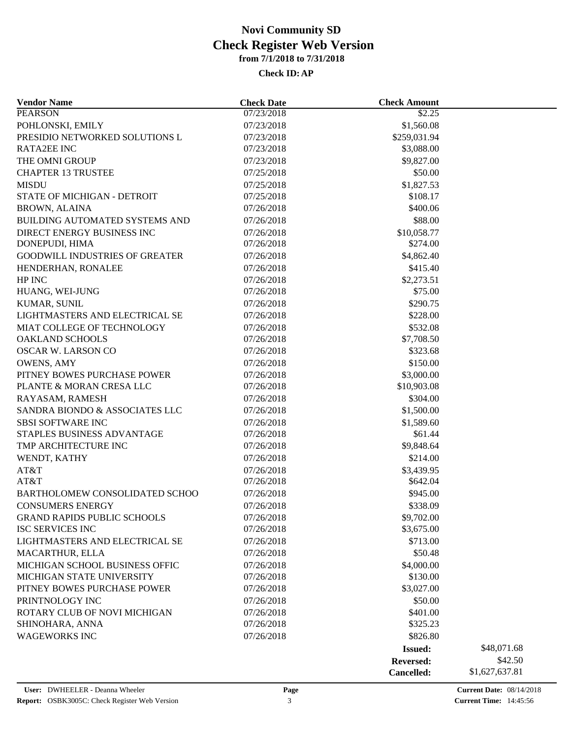| <b>Vendor Name</b>                    | <b>Check Date</b> | <b>Check Amount</b> |                |  |
|---------------------------------------|-------------------|---------------------|----------------|--|
| <b>PEARSON</b>                        | 07/23/2018        | $\overline{$}2.25$  |                |  |
| POHLONSKI, EMILY                      | 07/23/2018        | \$1,560.08          |                |  |
| PRESIDIO NETWORKED SOLUTIONS L        | 07/23/2018        | \$259,031.94        |                |  |
| <b>RATA2EE INC</b>                    | 07/23/2018        | \$3,088.00          |                |  |
| THE OMNI GROUP                        | 07/23/2018        | \$9,827.00          |                |  |
| <b>CHAPTER 13 TRUSTEE</b>             | 07/25/2018        | \$50.00             |                |  |
| <b>MISDU</b>                          | 07/25/2018        | \$1,827.53          |                |  |
| STATE OF MICHIGAN - DETROIT           | 07/25/2018        | \$108.17            |                |  |
| <b>BROWN, ALAINA</b>                  | 07/26/2018        | \$400.06            |                |  |
| <b>BUILDING AUTOMATED SYSTEMS AND</b> | 07/26/2018        | \$88.00             |                |  |
| DIRECT ENERGY BUSINESS INC            | 07/26/2018        | \$10,058.77         |                |  |
| DONEPUDI, HIMA                        | 07/26/2018        | \$274.00            |                |  |
| <b>GOODWILL INDUSTRIES OF GREATER</b> | 07/26/2018        | \$4,862.40          |                |  |
| HENDERHAN, RONALEE                    | 07/26/2018        | \$415.40            |                |  |
| HP INC                                | 07/26/2018        | \$2,273.51          |                |  |
| HUANG, WEI-JUNG                       | 07/26/2018        | \$75.00             |                |  |
| KUMAR, SUNIL                          | 07/26/2018        | \$290.75            |                |  |
| LIGHTMASTERS AND ELECTRICAL SE        | 07/26/2018        | \$228.00            |                |  |
| MIAT COLLEGE OF TECHNOLOGY            | 07/26/2018        | \$532.08            |                |  |
| <b>OAKLAND SCHOOLS</b>                | 07/26/2018        | \$7,708.50          |                |  |
| OSCAR W. LARSON CO                    | 07/26/2018        | \$323.68            |                |  |
|                                       |                   |                     |                |  |
| <b>OWENS, AMY</b>                     | 07/26/2018        | \$150.00            |                |  |
| PITNEY BOWES PURCHASE POWER           | 07/26/2018        | \$3,000.00          |                |  |
| PLANTE & MORAN CRESA LLC              | 07/26/2018        | \$10,903.08         |                |  |
| RAYASAM, RAMESH                       | 07/26/2018        | \$304.00            |                |  |
| SANDRA BIONDO & ASSOCIATES LLC        | 07/26/2018        | \$1,500.00          |                |  |
| <b>SBSI SOFTWARE INC</b>              | 07/26/2018        | \$1,589.60          |                |  |
| STAPLES BUSINESS ADVANTAGE            | 07/26/2018        | \$61.44             |                |  |
| TMP ARCHITECTURE INC                  | 07/26/2018        | \$9,848.64          |                |  |
| WENDT, KATHY                          | 07/26/2018        | \$214.00            |                |  |
| AT&T                                  | 07/26/2018        | \$3,439.95          |                |  |
| AT&T                                  | 07/26/2018        | \$642.04            |                |  |
| BARTHOLOMEW CONSOLIDATED SCHOO        | 07/26/2018        | \$945.00            |                |  |
| <b>CONSUMERS ENERGY</b>               | 07/26/2018        | \$338.09            |                |  |
| <b>GRAND RAPIDS PUBLIC SCHOOLS</b>    | 07/26/2018        | \$9,702.00          |                |  |
| <b>ISC SERVICES INC</b>               | 07/26/2018        | \$3,675.00          |                |  |
| LIGHTMASTERS AND ELECTRICAL SE        | 07/26/2018        | \$713.00            |                |  |
| MACARTHUR, ELLA                       | 07/26/2018        | \$50.48             |                |  |
| MICHIGAN SCHOOL BUSINESS OFFIC        | 07/26/2018        | \$4,000.00          |                |  |
| MICHIGAN STATE UNIVERSITY             | 07/26/2018        | \$130.00            |                |  |
| PITNEY BOWES PURCHASE POWER           | 07/26/2018        | \$3,027.00          |                |  |
| PRINTNOLOGY INC                       | 07/26/2018        | \$50.00             |                |  |
| ROTARY CLUB OF NOVI MICHIGAN          | 07/26/2018        | \$401.00            |                |  |
| SHINOHARA, ANNA                       | 07/26/2018        | \$325.23            |                |  |
| <b>WAGEWORKS INC</b>                  | 07/26/2018        | \$826.80            |                |  |
|                                       |                   | <b>Issued:</b>      | \$48,071.68    |  |
|                                       |                   | Reversed:           | \$42.50        |  |
|                                       |                   | Cancelled:          | \$1,627,637.81 |  |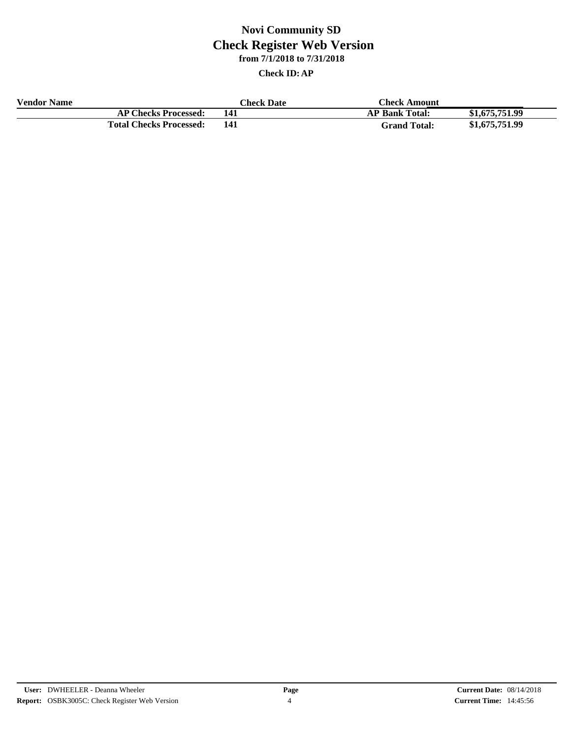| <b>Vendor Name</b> | <b>Check Date</b>              |     | <b>Check Amount</b>   |                |
|--------------------|--------------------------------|-----|-----------------------|----------------|
|                    | <b>AP Checks Processed:</b>    | 141 | <b>AP Bank Total:</b> | \$1,675,751,99 |
|                    | <b>Total Checks Processed:</b> | 141 | <b>Grand Total:</b>   | \$1,675,751.99 |